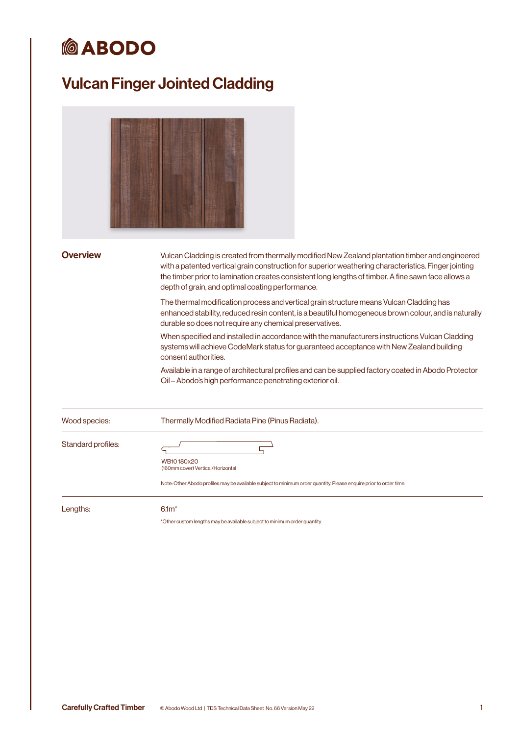# *<u>MABODO</u>*

## Vulcan Finger Jointed Cladding

Overview Vulcan Cladding is created from thermally modified New Zealand plantation timber and engineered with a patented vertical grain construction for superior weathering characteristics. Finger jointing the timber prior to lamination creates consistent long lengths of timber. A fine sawn face allows a depth of grain, and optimal coating performance.

> The thermal modification process and vertical grain structure means Vulcan Cladding has enhanced stability, reduced resin content, is a beautiful homogeneous brown colour, and is naturally durable so does not require any chemical preservatives.

When specified and installed in accordance with the manufacturers instructions Vulcan Cladding systems will achieve CodeMark status for guaranteed acceptance with New Zealand building consent authorities.

Available in a range of architectural profiles and can be supplied factory coated in Abodo Protector Oil – Abodo's high performance penetrating exterior oil.

| Wood species: | Thermally Modified Radiata Pine (Pinus Radiata). |
|---------------|--------------------------------------------------|
|               |                                                  |

Standard profiles:

 $\overline{F}$ 



Note: Other Abodo profiles may be available subject to minimum order quantity. Please enquire prior to order time.

Lengths: 6.1m\*

\*Other custom lengths may be available subject to minimum order quantity.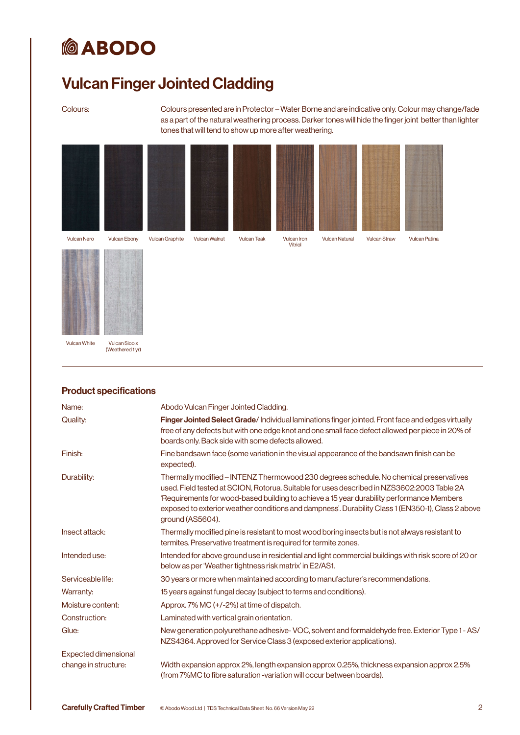# **@ABODO**

## Vulcan Finger Jointed Cladding

Colours: Colours presented are in Protector – Water Borne and are indicative only. Colour may change/fade as a part of the natural weathering process. Darker tones will hide the finger joint better than lighter tones that will tend to show up more after weathering.





Vulcan White Vulcan Sioo:x

(Weathered 1 yr)

| <u>E TUUUUL SPUULIUULIS</u> |                                                                                                                                                                                                                                                                                                                                                                                                            |
|-----------------------------|------------------------------------------------------------------------------------------------------------------------------------------------------------------------------------------------------------------------------------------------------------------------------------------------------------------------------------------------------------------------------------------------------------|
| Name:                       | Abodo Vulcan Finger Jointed Cladding.                                                                                                                                                                                                                                                                                                                                                                      |
| Quality:                    | Finger Jointed Select Grade/Individual laminations finger jointed. Front face and edges virtually<br>free of any defects but with one edge knot and one small face defect allowed per piece in 20% of<br>boards only. Back side with some defects allowed.                                                                                                                                                 |
| Finish:                     | Fine bandsawn face (some variation in the visual appearance of the bandsawn finish can be<br>expected).                                                                                                                                                                                                                                                                                                    |
| Durability:                 | Thermally modified – INTENZ Thermowood 230 degrees schedule. No chemical preservatives<br>used. Field tested at SCION, Rotorua. Suitable for uses described in NZS3602:2003 Table 2A<br>'Requirements for wood-based building to achieve a 15 year durability performance Members<br>exposed to exterior weather conditions and dampness'. Durability Class 1 (EN350-1), Class 2 above<br>ground (AS5604). |
| Insect attack:              | Thermally modified pine is resistant to most wood boring insects but is not always resistant to<br>termites. Preservative treatment is required for termite zones.                                                                                                                                                                                                                                         |
| Intended use:               | Intended for above ground use in residential and light commercial buildings with risk score of 20 or<br>below as per 'Weather tightness risk matrix' in E2/AS1.                                                                                                                                                                                                                                            |
| Serviceable life:           | 30 years or more when maintained according to manufacturer's recommendations.                                                                                                                                                                                                                                                                                                                              |
| Warranty:                   | 15 years against fungal decay (subject to terms and conditions).                                                                                                                                                                                                                                                                                                                                           |
| Moisture content:           | Approx. 7% MC (+/-2%) at time of dispatch.                                                                                                                                                                                                                                                                                                                                                                 |
| Construction:               | Laminated with vertical grain orientation.                                                                                                                                                                                                                                                                                                                                                                 |
| Glue:                       | New generation polyurethane adhesive-VOC, solvent and formaldehyde free. Exterior Type 1-AS/<br>NZS4364. Approved for Service Class 3 (exposed exterior applications).                                                                                                                                                                                                                                     |
| <b>Expected dimensional</b> |                                                                                                                                                                                                                                                                                                                                                                                                            |
| change in structure:        | Width expansion approx 2%, length expansion approx 0.25%, thickness expansion approx 2.5%<br>(from 7%MC to fibre saturation -variation will occur between boards).                                                                                                                                                                                                                                         |
|                             |                                                                                                                                                                                                                                                                                                                                                                                                            |

### Product specifications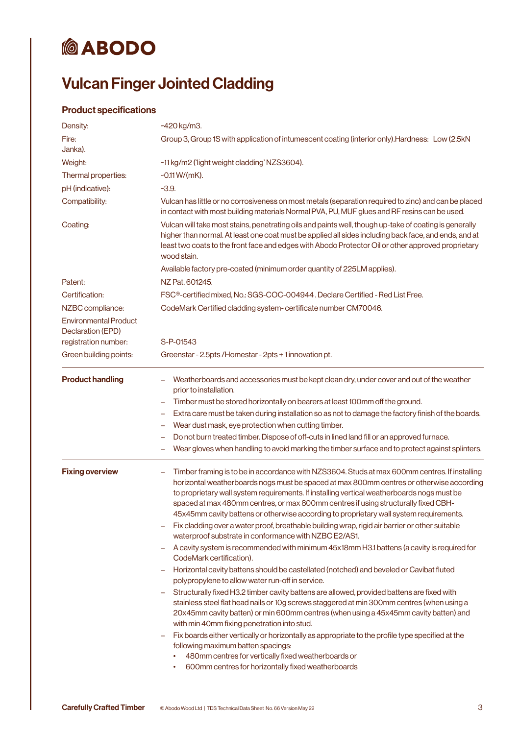# **@ABODO**

# Vulcan Finger Jointed Cladding

### Product specifications

| Density:                                          | ~420 kg/m3.                                                                                                                                                                                                                                                                                                                                                                                                                                                                                                                                                                                                                             |
|---------------------------------------------------|-----------------------------------------------------------------------------------------------------------------------------------------------------------------------------------------------------------------------------------------------------------------------------------------------------------------------------------------------------------------------------------------------------------------------------------------------------------------------------------------------------------------------------------------------------------------------------------------------------------------------------------------|
| Fire:<br>Janka).                                  | Group 3, Group 1S with application of intumescent coating (interior only). Hardness: Low (2.5kN                                                                                                                                                                                                                                                                                                                                                                                                                                                                                                                                         |
| Weight:                                           | ~11 kg/m2 ('light weight cladding' NZS3604).                                                                                                                                                                                                                                                                                                                                                                                                                                                                                                                                                                                            |
| Thermal properties:                               | $-0.11$ W/(mK).                                                                                                                                                                                                                                                                                                                                                                                                                                                                                                                                                                                                                         |
| pH (indicative):                                  | $-3.9.$                                                                                                                                                                                                                                                                                                                                                                                                                                                                                                                                                                                                                                 |
| Compatibility:                                    | Vulcan has little or no corrosiveness on most metals (separation required to zinc) and can be placed<br>in contact with most building materials Normal PVA, PU, MUF glues and RF resins can be used.                                                                                                                                                                                                                                                                                                                                                                                                                                    |
| Coating:                                          | Vulcan will take most stains, penetrating oils and paints well, though up-take of coating is generally<br>higher than normal. At least one coat must be applied all sides including back face, and ends, and at<br>least two coats to the front face and edges with Abodo Protector Oil or other approved proprietary<br>wood stain.                                                                                                                                                                                                                                                                                                    |
|                                                   | Available factory pre-coated (minimum order quantity of 225LM applies).                                                                                                                                                                                                                                                                                                                                                                                                                                                                                                                                                                 |
| Patent:                                           | NZ Pat. 601245.                                                                                                                                                                                                                                                                                                                                                                                                                                                                                                                                                                                                                         |
| Certification:                                    | FSC <sup>®</sup> -certified mixed, No.: SGS-COC-004944. Declare Certified - Red List Free.                                                                                                                                                                                                                                                                                                                                                                                                                                                                                                                                              |
| NZBC compliance:                                  | CodeMark Certified cladding system-certificate number CM70046.                                                                                                                                                                                                                                                                                                                                                                                                                                                                                                                                                                          |
| <b>Environmental Product</b><br>Declaration (EPD) |                                                                                                                                                                                                                                                                                                                                                                                                                                                                                                                                                                                                                                         |
| registration number:                              | S-P-01543                                                                                                                                                                                                                                                                                                                                                                                                                                                                                                                                                                                                                               |
| Green building points:                            | Greenstar - 2.5 pts / Homestar - 2 pts + 1 innovation pt.                                                                                                                                                                                                                                                                                                                                                                                                                                                                                                                                                                               |
| <b>Product handling</b>                           | Weatherboards and accessories must be kept clean dry, under cover and out of the weather<br>prior to installation.                                                                                                                                                                                                                                                                                                                                                                                                                                                                                                                      |
|                                                   | Timber must be stored horizontally on bearers at least 100mm off the ground.<br>$\overline{\phantom{m}}$                                                                                                                                                                                                                                                                                                                                                                                                                                                                                                                                |
|                                                   | Extra care must be taken during installation so as not to damage the factory finish of the boards.                                                                                                                                                                                                                                                                                                                                                                                                                                                                                                                                      |
|                                                   | Wear dust mask, eye protection when cutting timber.<br>-                                                                                                                                                                                                                                                                                                                                                                                                                                                                                                                                                                                |
|                                                   | Do not burn treated timber. Dispose of off-cuts in lined land fill or an approved furnace.<br>-<br>Wear gloves when handling to avoid marking the timber surface and to protect against splinters.                                                                                                                                                                                                                                                                                                                                                                                                                                      |
|                                                   |                                                                                                                                                                                                                                                                                                                                                                                                                                                                                                                                                                                                                                         |
| <b>Fixing overview</b>                            | Timber framing is to be in accordance with NZS3604. Studs at max 600mm centres. If installing<br>-<br>horizontal weatherboards nogs must be spaced at max 800mm centres or otherwise according<br>to proprietary wall system requirements. If installing vertical weatherboards nogs must be<br>spaced at max 480mm centres, or max 800mm centres if using structurally fixed CBH-<br>45x45mm cavity battens or otherwise according to proprietary wall system requirements.<br>Fix cladding over a water proof, breathable building wrap, rigid air barrier or other suitable<br>waterproof substrate in conformance with NZBC E2/AS1. |
|                                                   | A cavity system is recommended with minimum 45x18mm H3.1 battens (a cavity is required for<br>CodeMark certification).                                                                                                                                                                                                                                                                                                                                                                                                                                                                                                                  |
|                                                   | Horizontal cavity battens should be castellated (notched) and beveled or Cavibat fluted<br>polypropylene to allow water run-off in service.                                                                                                                                                                                                                                                                                                                                                                                                                                                                                             |
|                                                   | Structurally fixed H3.2 timber cavity battens are allowed, provided battens are fixed with<br>stainless steel flat head nails or 10g screws staggered at min 300mm centres (when using a<br>20x45mm cavity batten) or min 600mm centres (when using a 45x45mm cavity batten) and<br>with min 40mm fixing penetration into stud.                                                                                                                                                                                                                                                                                                         |
|                                                   | Fix boards either vertically or horizontally as appropriate to the profile type specified at the<br>$\qquad \qquad -$<br>following maximum batten spacings:<br>480mm centres for vertically fixed weatherboards or<br>600mm centres for horizontally fixed weatherboards<br>٠                                                                                                                                                                                                                                                                                                                                                           |
|                                                   |                                                                                                                                                                                                                                                                                                                                                                                                                                                                                                                                                                                                                                         |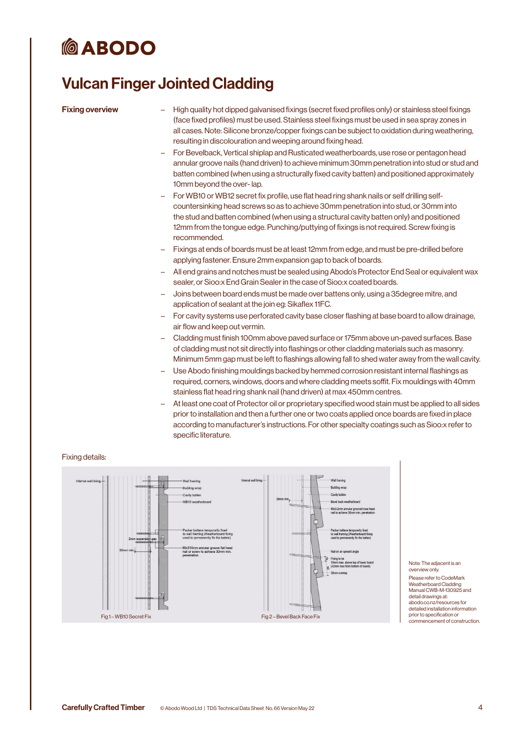# **MO ABODO**

### Vulcan Finger Jointed Cladding

- Fixing overview High quality hot dipped galvanised fixings (secret fixed profiles only) or stainless steel fixings (face fixed profiles) must be used. Stainless steel fixings must be used in sea spray zones in all cases. Note: Silicone bronze/copper fixings can be subject to oxidation during weathering, resulting in discolouration and weeping around fixing head.
	- For Bevelback, Vertical shiplap and Rusticated weatherboards, use rose or pentagon head annular groove nails (hand driven) to achieve minimum 30mm penetration into stud or stud and batten combined (when using a structurally fixed cavity batten) and positioned approximately 10mm beyond the over- lap.
	- For WB10 or WB12 secret fix profile, use flat head ring shank nails or self drilling selfcountersinking head screws so as to achieve 30mm penetration into stud, or 30mm into the stud and batten combined (when using a structural cavity batten only) and positioned 12mm from the tongue edge. Punching/puttying of fixings is not required. Screw fixing is recommended.
	- Fixings at ends of boards must be at least 12mm from edge, and must be pre-drilled before applying fastener. Ensure 2mm expansion gap to back of boards.
	- All end grains and notches must be sealed using Abodo's Protector End Seal or equivalent wax sealer, or Sioo:x End Grain Sealer in the case of Sioo:x coated boards.
	- Joins between board ends must be made over battens only, using a 35degree mitre, and application of sealant at the join eg: Sikaflex 11FC.
	- For cavity systems use perforated cavity base closer flashing at base board to allow drainage, air flow and keep out vermin.
	- Cladding must finish 100mm above paved surface or 175mm above un-paved surfaces. Base of cladding must not sit directly into flashings or other cladding materials such as masonry. Minimum 5mm gap must be left to flashings allowing fall to shed water away from the wall cavity.
	- Use Abodo finishing mouldings backed by hemmed corrosion resistant internal flashings as required, corners, windows, doors and where cladding meets soffit. Fix mouldings with 40mm stainless flat head ring shank nail (hand driven) at max 450mm centres.
	- At least one coat of Protector oil or proprietary specified wood stain must be applied to all sides prior to installation and then a further one or two coats applied once boards are fixed in place according to manufacturer's instructions. For other specialty coatings such as Sioo:x refer to specific literature.

### Fixing details:



### Note: The adjacent is an overview only.

Please refer to CodeMark Weatherboard Cladding Manual CWB-M-130925 and detail drawings at: abodo.co.nz/resources for detailed installation information prior to specification or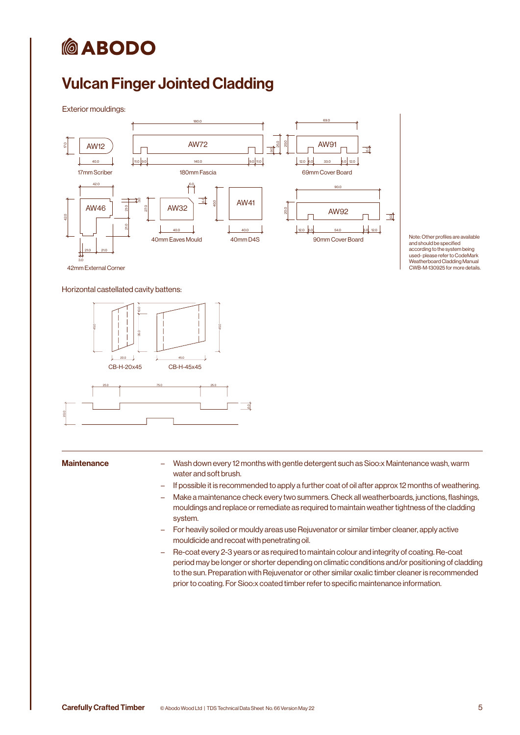# *<b>@ABODO*

## Vulcan Finger Jointed Cladding

Exterior mouldings:



Note: Other profiles are available and should be specified according to the system being used- please refer to CodeMark Weatherboard Cladding Manual CWB-M-130925 for more details.

Horizontal castellated cavity battens:



- Maintenance **Eggen Company 12 months** with gentle detergent such as Sioo:x Maintenance wash, warm water and soft brush.
	- If possible it is recommended to apply a further coat of oil after approx 12 months of weathering.
	- Make a maintenance check every two summers. Check all weatherboards, junctions, flashings, mouldings and replace or remediate as required to maintain weather tightness of the cladding system.
	- For heavily soiled or mouldy areas use Rejuvenator or similar timber cleaner, apply active mouldicide and recoat with penetrating oil.
	- Re-coat every 2-3 years or as required to maintain colour and integrity of coating. Re-coat period may be longer or shorter depending on climatic conditions and/or positioning of cladding to the sun. Preparation with Rejuvenator or other similar oxalic timber cleaner is recommended prior to coating. For Sioo:x coated timber refer to specific maintenance information.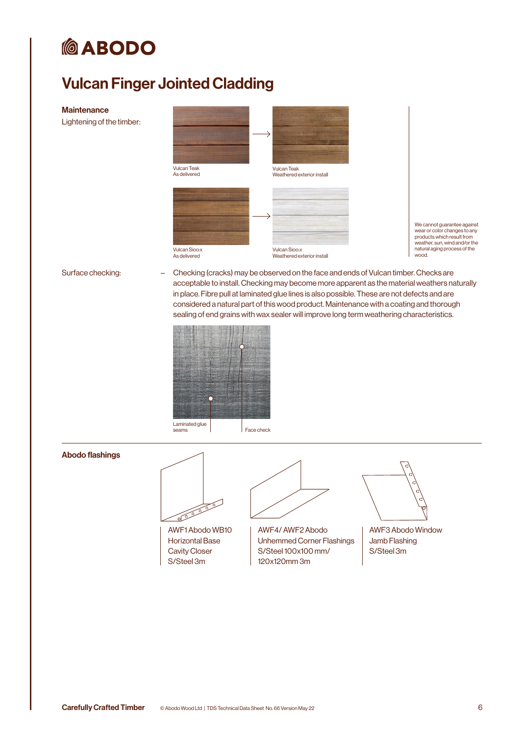# *<u>MABODO</u>*

## Vulcan Finger Jointed Cladding

### **Maintenance**

Lightening of the timber:



We cannot guarantee against wear or color changes to any products which result from weather, sun, wind and/or the natural aging process of the wood.

Surface checking: – Checking (cracks) may be observed on the face and ends of Vulcan timber. Checks are acceptable to install. Checking may become more apparent as the material weathers naturally in place. Fibre pull at laminated glue lines is also possible. These are not defects and are considered a natural part of this wood product. Maintenance with a coating and thorough sealing of end grains with wax sealer will improve long term weathering characteristics.



### Abodo flashings

0000000

AWF1 Abodo WB10 Horizontal Base Cavity Closer S/Steel 3m



AWF4/ AWF2 Abodo Unhemmed Corner Flashings S/Steel 100x100 mm/ 120x120mm 3m



AWF3 Abodo Window Jamb Flashing S/Steel 3m